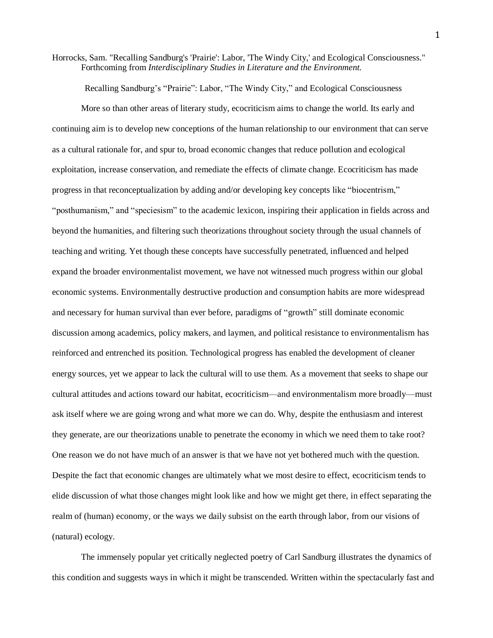Horrocks, Sam. "Recalling Sandburg's 'Prairie': Labor, 'The Windy City,' and Ecological Consciousness." Forthcoming from *Interdisciplinary Studies in Literature and the Environment.*

Recalling Sandburg's "Prairie": Labor, "The Windy City," and Ecological Consciousness

More so than other areas of literary study, ecocriticism aims to change the world. Its early and continuing aim is to develop new conceptions of the human relationship to our environment that can serve as a cultural rationale for, and spur to, broad economic changes that reduce pollution and ecological exploitation, increase conservation, and remediate the effects of climate change. Ecocriticism has made progress in that reconceptualization by adding and/or developing key concepts like "biocentrism," "posthumanism," and "speciesism" to the academic lexicon, inspiring their application in fields across and beyond the humanities, and filtering such theorizations throughout society through the usual channels of teaching and writing. Yet though these concepts have successfully penetrated, influenced and helped expand the broader environmentalist movement, we have not witnessed much progress within our global economic systems. Environmentally destructive production and consumption habits are more widespread and necessary for human survival than ever before, paradigms of "growth" still dominate economic discussion among academics, policy makers, and laymen, and political resistance to environmentalism has reinforced and entrenched its position. Technological progress has enabled the development of cleaner energy sources, yet we appear to lack the cultural will to use them. As a movement that seeks to shape our cultural attitudes and actions toward our habitat, ecocriticism—and environmentalism more broadly—must ask itself where we are going wrong and what more we can do. Why, despite the enthusiasm and interest they generate, are our theorizations unable to penetrate the economy in which we need them to take root? One reason we do not have much of an answer is that we have not yet bothered much with the question. Despite the fact that economic changes are ultimately what we most desire to effect, ecocriticism tends to elide discussion of what those changes might look like and how we might get there, in effect separating the realm of (human) economy, or the ways we daily subsist on the earth through labor, from our visions of (natural) ecology.

The immensely popular yet critically neglected poetry of Carl Sandburg illustrates the dynamics of this condition and suggests ways in which it might be transcended. Written within the spectacularly fast and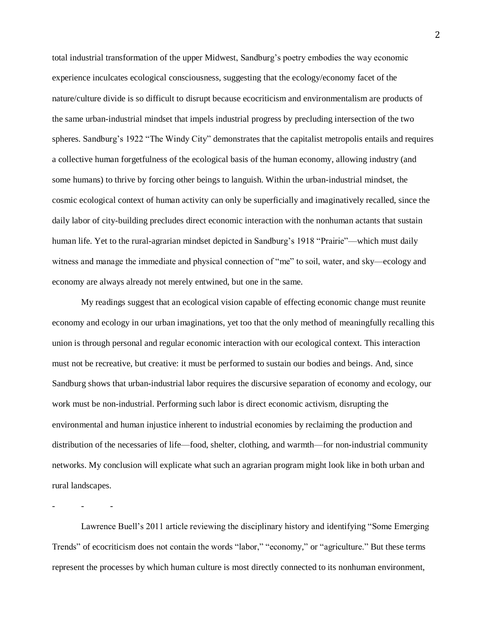total industrial transformation of the upper Midwest, Sandburg's poetry embodies the way economic experience inculcates ecological consciousness, suggesting that the ecology/economy facet of the nature/culture divide is so difficult to disrupt because ecocriticism and environmentalism are products of the same urban-industrial mindset that impels industrial progress by precluding intersection of the two spheres. Sandburg's 1922 "The Windy City" demonstrates that the capitalist metropolis entails and requires a collective human forgetfulness of the ecological basis of the human economy, allowing industry (and some humans) to thrive by forcing other beings to languish. Within the urban-industrial mindset, the cosmic ecological context of human activity can only be superficially and imaginatively recalled, since the daily labor of city-building precludes direct economic interaction with the nonhuman actants that sustain human life. Yet to the rural-agrarian mindset depicted in Sandburg's 1918 "Prairie"—which must daily witness and manage the immediate and physical connection of "me" to soil, water, and sky—ecology and economy are always already not merely entwined, but one in the same.

My readings suggest that an ecological vision capable of effecting economic change must reunite economy and ecology in our urban imaginations, yet too that the only method of meaningfully recalling this union is through personal and regular economic interaction with our ecological context. This interaction must not be recreative, but creative: it must be performed to sustain our bodies and beings. And, since Sandburg shows that urban-industrial labor requires the discursive separation of economy and ecology, our work must be non-industrial. Performing such labor is direct economic activism, disrupting the environmental and human injustice inherent to industrial economies by reclaiming the production and distribution of the necessaries of life—food, shelter, clothing, and warmth—for non-industrial community networks. My conclusion will explicate what such an agrarian program might look like in both urban and rural landscapes.

Lawrence Buell's 2011 article reviewing the disciplinary history and identifying "Some Emerging Trends" of ecocriticism does not contain the words "labor," "economy," or "agriculture." But these terms represent the processes by which human culture is most directly connected to its nonhuman environment,

- - -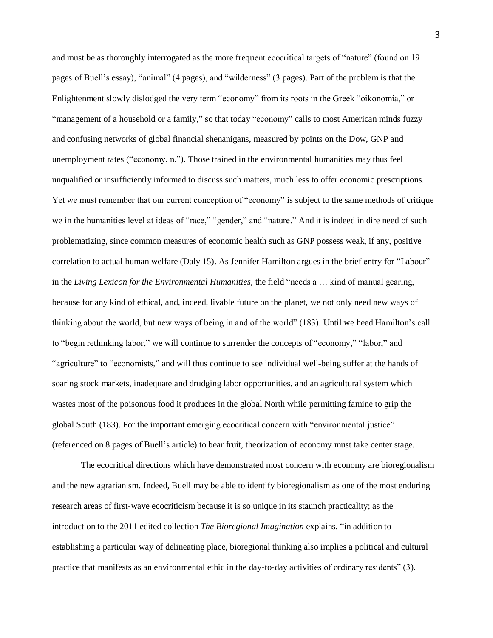and must be as thoroughly interrogated as the more frequent ecocritical targets of "nature" (found on 19 pages of Buell's essay), "animal" (4 pages), and "wilderness" (3 pages). Part of the problem is that the Enlightenment slowly dislodged the very term "economy" from its roots in the Greek "oikonomia," or "management of a household or a family," so that today "economy" calls to most American minds fuzzy and confusing networks of global financial shenanigans, measured by points on the Dow, GNP and unemployment rates ("economy, n."). Those trained in the environmental humanities may thus feel unqualified or insufficiently informed to discuss such matters, much less to offer economic prescriptions. Yet we must remember that our current conception of "economy" is subject to the same methods of critique we in the humanities level at ideas of "race," "gender," and "nature." And it is indeed in dire need of such problematizing, since common measures of economic health such as GNP possess weak, if any, positive correlation to actual human welfare (Daly 15). As Jennifer Hamilton argues in the brief entry for "Labour" in the *Living Lexicon for the Environmental Humanities*, the field "needs a … kind of manual gearing, because for any kind of ethical, and, indeed, livable future on the planet, we not only need new ways of thinking about the world, but new ways of being in and of the world" (183). Until we heed Hamilton's call to "begin rethinking labor," we will continue to surrender the concepts of "economy," "labor," and "agriculture" to "economists," and will thus continue to see individual well-being suffer at the hands of soaring stock markets, inadequate and drudging labor opportunities, and an agricultural system which wastes most of the poisonous food it produces in the global North while permitting famine to grip the global South (183). For the important emerging ecocritical concern with "environmental justice" (referenced on 8 pages of Buell's article) to bear fruit, theorization of economy must take center stage.

The ecocritical directions which have demonstrated most concern with economy are bioregionalism and the new agrarianism. Indeed, Buell may be able to identify bioregionalism as one of the most enduring research areas of first-wave ecocriticism because it is so unique in its staunch practicality; as the introduction to the 2011 edited collection *The Bioregional Imagination* explains, "in addition to establishing a particular way of delineating place, bioregional thinking also implies a political and cultural practice that manifests as an environmental ethic in the day-to-day activities of ordinary residents" (3).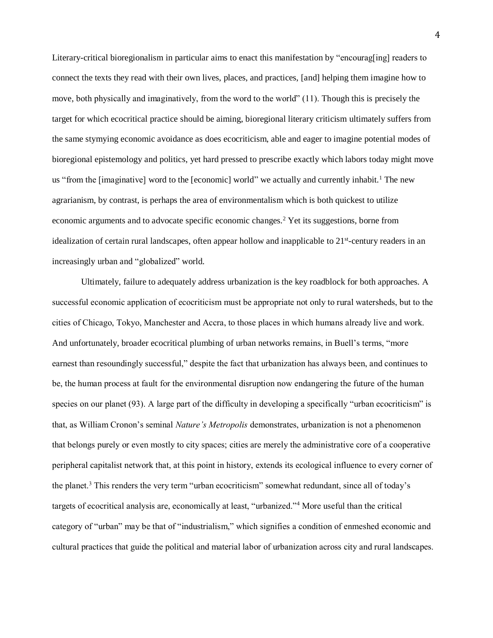Literary-critical bioregionalism in particular aims to enact this manifestation by "encourag[ing] readers to connect the texts they read with their own lives, places, and practices, [and] helping them imagine how to move, both physically and imaginatively, from the word to the world" (11). Though this is precisely the target for which ecocritical practice should be aiming, bioregional literary criticism ultimately suffers from the same stymying economic avoidance as does ecocriticism, able and eager to imagine potential modes of bioregional epistemology and politics, yet hard pressed to prescribe exactly which labors today might move us "from the [imaginative] word to the [economic] world" we actually and currently inhabit.<sup>1</sup> The new agrarianism, by contrast, is perhaps the area of environmentalism which is both quickest to utilize economic arguments and to advocate specific economic changes.<sup>2</sup> Yet its suggestions, borne from idealization of certain rural landscapes, often appear hollow and inapplicable to 21<sup>st</sup>-century readers in an increasingly urban and "globalized" world.

Ultimately, failure to adequately address urbanization is the key roadblock for both approaches. A successful economic application of ecocriticism must be appropriate not only to rural watersheds, but to the cities of Chicago, Tokyo, Manchester and Accra, to those places in which humans already live and work. And unfortunately, broader ecocritical plumbing of urban networks remains, in Buell's terms, "more earnest than resoundingly successful," despite the fact that urbanization has always been, and continues to be, the human process at fault for the environmental disruption now endangering the future of the human species on our planet (93). A large part of the difficulty in developing a specifically "urban ecocriticism" is that, as William Cronon's seminal *Nature's Metropolis* demonstrates, urbanization is not a phenomenon that belongs purely or even mostly to city spaces; cities are merely the administrative core of a cooperative peripheral capitalist network that, at this point in history, extends its ecological influence to every corner of the planet.<sup>3</sup> This renders the very term "urban ecocriticism" somewhat redundant, since all of today's targets of ecocritical analysis are, economically at least, "urbanized." <sup>4</sup> More useful than the critical category of "urban" may be that of "industrialism," which signifies a condition of enmeshed economic and cultural practices that guide the political and material labor of urbanization across city and rural landscapes.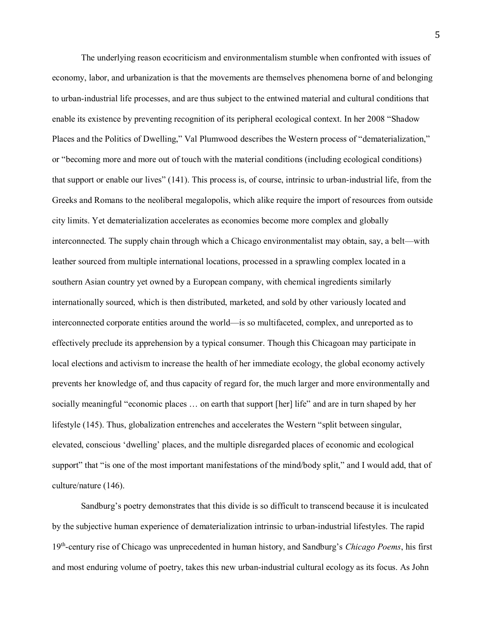The underlying reason ecocriticism and environmentalism stumble when confronted with issues of economy, labor, and urbanization is that the movements are themselves phenomena borne of and belonging to urban-industrial life processes, and are thus subject to the entwined material and cultural conditions that enable its existence by preventing recognition of its peripheral ecological context. In her 2008 "Shadow Places and the Politics of Dwelling," Val Plumwood describes the Western process of "dematerialization," or "becoming more and more out of touch with the material conditions (including ecological conditions) that support or enable our lives" (141). This process is, of course, intrinsic to urban-industrial life, from the Greeks and Romans to the neoliberal megalopolis, which alike require the import of resources from outside city limits. Yet dematerialization accelerates as economies become more complex and globally interconnected. The supply chain through which a Chicago environmentalist may obtain, say, a belt—with leather sourced from multiple international locations, processed in a sprawling complex located in a southern Asian country yet owned by a European company, with chemical ingredients similarly internationally sourced, which is then distributed, marketed, and sold by other variously located and interconnected corporate entities around the world—is so multifaceted, complex, and unreported as to effectively preclude its apprehension by a typical consumer. Though this Chicagoan may participate in local elections and activism to increase the health of her immediate ecology, the global economy actively prevents her knowledge of, and thus capacity of regard for, the much larger and more environmentally and socially meaningful "economic places … on earth that support [her] life" and are in turn shaped by her lifestyle (145). Thus, globalization entrenches and accelerates the Western "split between singular, elevated, conscious 'dwelling' places, and the multiple disregarded places of economic and ecological support" that "is one of the most important manifestations of the mind/body split," and I would add, that of culture/nature (146).

Sandburg's poetry demonstrates that this divide is so difficult to transcend because it is inculcated by the subjective human experience of dematerialization intrinsic to urban-industrial lifestyles. The rapid 19th -century rise of Chicago was unprecedented in human history, and Sandburg's *Chicago Poems*, his first and most enduring volume of poetry, takes this new urban-industrial cultural ecology as its focus. As John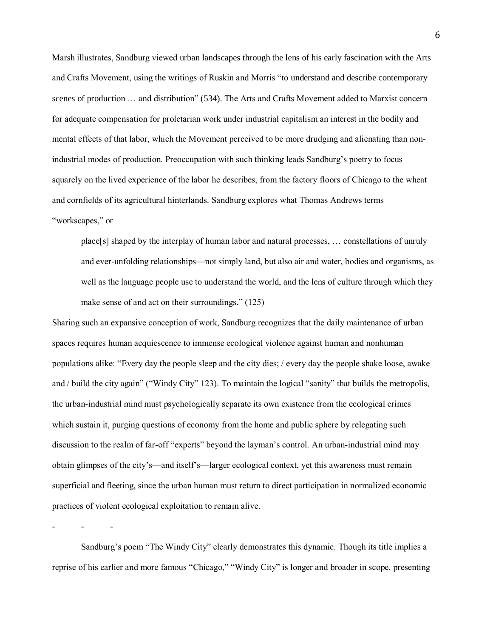Marsh illustrates, Sandburg viewed urban landscapes through the lens of his early fascination with the Arts and Crafts Movement, using the writings of Ruskin and Morris "to understand and describe contemporary scenes of production … and distribution" (534). The Arts and Crafts Movement added to Marxist concern for adequate compensation for proletarian work under industrial capitalism an interest in the bodily and mental effects of that labor, which the Movement perceived to be more drudging and alienating than nonindustrial modes of production. Preoccupation with such thinking leads Sandburg's poetry to focus squarely on the lived experience of the labor he describes, from the factory floors of Chicago to the wheat and cornfields of its agricultural hinterlands. Sandburg explores what Thomas Andrews terms "workscapes," or

place[s] shaped by the interplay of human labor and natural processes, … constellations of unruly and ever-unfolding relationships—not simply land, but also air and water, bodies and organisms, as well as the language people use to understand the world, and the lens of culture through which they make sense of and act on their surroundings." (125)

Sharing such an expansive conception of work, Sandburg recognizes that the daily maintenance of urban spaces requires human acquiescence to immense ecological violence against human and nonhuman populations alike: "Every day the people sleep and the city dies; / every day the people shake loose, awake and / build the city again" ("Windy City" 123). To maintain the logical "sanity" that builds the metropolis, the urban-industrial mind must psychologically separate its own existence from the ecological crimes which sustain it, purging questions of economy from the home and public sphere by relegating such discussion to the realm of far-off "experts" beyond the layman's control. An urban-industrial mind may obtain glimpses of the city's—and itself's—larger ecological context, yet this awareness must remain superficial and fleeting, since the urban human must return to direct participation in normalized economic practices of violent ecological exploitation to remain alive.

- - -

Sandburg's poem "The Windy City" clearly demonstrates this dynamic. Though its title implies a reprise of his earlier and more famous "Chicago," "Windy City" is longer and broader in scope, presenting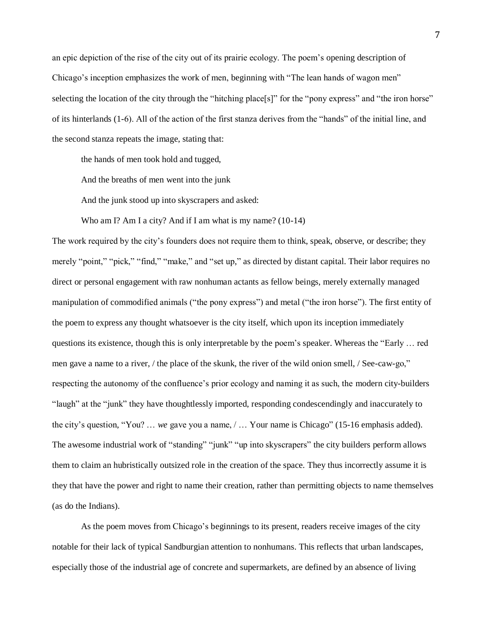an epic depiction of the rise of the city out of its prairie ecology. The poem's opening description of Chicago's inception emphasizes the work of men, beginning with "The lean hands of wagon men" selecting the location of the city through the "hitching place[s]" for the "pony express" and "the iron horse" of its hinterlands (1-6). All of the action of the first stanza derives from the "hands" of the initial line, and the second stanza repeats the image, stating that:

the hands of men took hold and tugged,

And the breaths of men went into the junk

And the junk stood up into skyscrapers and asked:

Who am I? Am I a city? And if I am what is my name? (10-14)

The work required by the city's founders does not require them to think, speak, observe, or describe; they merely "point," "pick," "find," "make," and "set up," as directed by distant capital. Their labor requires no direct or personal engagement with raw nonhuman actants as fellow beings, merely externally managed manipulation of commodified animals ("the pony express") and metal ("the iron horse"). The first entity of the poem to express any thought whatsoever is the city itself, which upon its inception immediately questions its existence, though this is only interpretable by the poem's speaker. Whereas the "Early … red men gave a name to a river, / the place of the skunk, the river of the wild onion smell, / See-caw-go," respecting the autonomy of the confluence's prior ecology and naming it as such, the modern city-builders "laugh" at the "junk" they have thoughtlessly imported, responding condescendingly and inaccurately to the city's question, "You? … *we* gave you a name, / … Your name is Chicago" (15-16 emphasis added). The awesome industrial work of "standing" "junk" "up into skyscrapers" the city builders perform allows them to claim an hubristically outsized role in the creation of the space. They thus incorrectly assume it is they that have the power and right to name their creation, rather than permitting objects to name themselves (as do the Indians).

As the poem moves from Chicago's beginnings to its present, readers receive images of the city notable for their lack of typical Sandburgian attention to nonhumans. This reflects that urban landscapes, especially those of the industrial age of concrete and supermarkets, are defined by an absence of living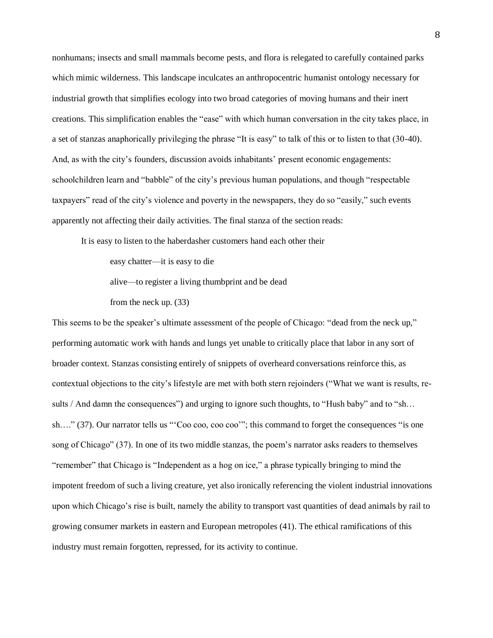nonhumans; insects and small mammals become pests, and flora is relegated to carefully contained parks which mimic wilderness. This landscape inculcates an anthropocentric humanist ontology necessary for industrial growth that simplifies ecology into two broad categories of moving humans and their inert creations. This simplification enables the "ease" with which human conversation in the city takes place, in a set of stanzas anaphorically privileging the phrase "It is easy" to talk of this or to listen to that (30-40). And, as with the city's founders, discussion avoids inhabitants' present economic engagements: schoolchildren learn and "babble" of the city's previous human populations, and though "respectable taxpayers" read of the city's violence and poverty in the newspapers, they do so "easily," such events apparently not affecting their daily activities. The final stanza of the section reads:

It is easy to listen to the haberdasher customers hand each other their

easy chatter—it is easy to die

alive—to register a living thumbprint and be dead

from the neck up. (33)

This seems to be the speaker's ultimate assessment of the people of Chicago: "dead from the neck up," performing automatic work with hands and lungs yet unable to critically place that labor in any sort of broader context. Stanzas consisting entirely of snippets of overheard conversations reinforce this, as contextual objections to the city's lifestyle are met with both stern rejoinders ("What we want is results, results / And damn the consequences") and urging to ignore such thoughts, to "Hush baby" and to "sh... sh…." (37). Our narrator tells us "'Coo coo, coo coo'"; this command to forget the consequences "is one song of Chicago" (37). In one of its two middle stanzas, the poem's narrator asks readers to themselves "remember" that Chicago is "Independent as a hog on ice," a phrase typically bringing to mind the impotent freedom of such a living creature, yet also ironically referencing the violent industrial innovations upon which Chicago's rise is built, namely the ability to transport vast quantities of dead animals by rail to growing consumer markets in eastern and European metropoles (41). The ethical ramifications of this industry must remain forgotten, repressed, for its activity to continue.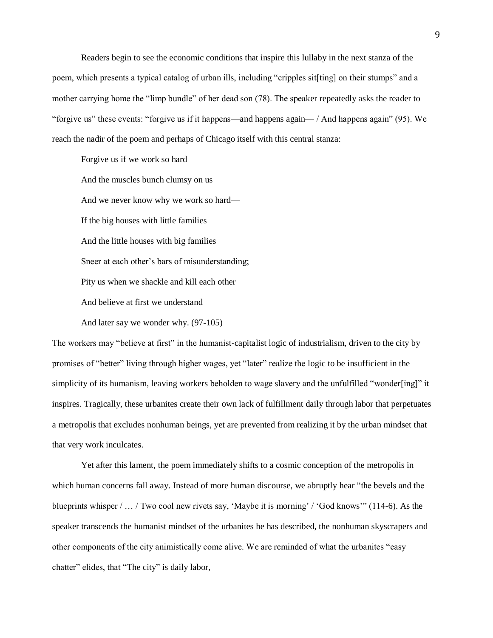Readers begin to see the economic conditions that inspire this lullaby in the next stanza of the poem, which presents a typical catalog of urban ills, including "cripples sit[ting] on their stumps" and a mother carrying home the "limp bundle" of her dead son (78). The speaker repeatedly asks the reader to "forgive us" these events: "forgive us if it happens—and happens again— / And happens again" (95). We reach the nadir of the poem and perhaps of Chicago itself with this central stanza:

Forgive us if we work so hard And the muscles bunch clumsy on us And we never know why we work so hard— If the big houses with little families And the little houses with big families Sneer at each other's bars of misunderstanding; Pity us when we shackle and kill each other And believe at first we understand And later say we wonder why. (97-105)

The workers may "believe at first" in the humanist-capitalist logic of industrialism, driven to the city by promises of "better" living through higher wages, yet "later" realize the logic to be insufficient in the simplicity of its humanism, leaving workers beholden to wage slavery and the unfulfilled "wonder[ing]" it inspires. Tragically, these urbanites create their own lack of fulfillment daily through labor that perpetuates a metropolis that excludes nonhuman beings, yet are prevented from realizing it by the urban mindset that that very work inculcates.

Yet after this lament, the poem immediately shifts to a cosmic conception of the metropolis in which human concerns fall away. Instead of more human discourse, we abruptly hear "the bevels and the blueprints whisper / … / Two cool new rivets say, 'Maybe it is morning' / 'God knows'" (114-6). As the speaker transcends the humanist mindset of the urbanites he has described, the nonhuman skyscrapers and other components of the city animistically come alive. We are reminded of what the urbanites "easy chatter" elides, that "The city" is daily labor,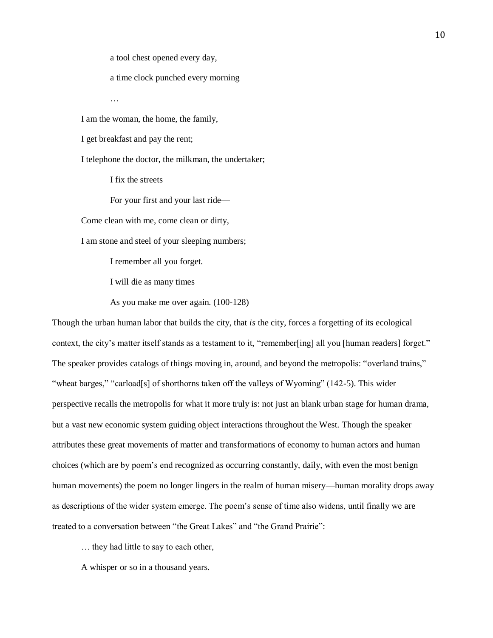a tool chest opened every day,

a time clock punched every morning

I am the woman, the home, the family,

I get breakfast and pay the rent;

…

I telephone the doctor, the milkman, the undertaker;

I fix the streets

For your first and your last ride—

Come clean with me, come clean or dirty,

I am stone and steel of your sleeping numbers;

I remember all you forget.

I will die as many times

As you make me over again. (100-128)

Though the urban human labor that builds the city, that *is* the city, forces a forgetting of its ecological context, the city's matter itself stands as a testament to it, "remember[ing] all you [human readers] forget." The speaker provides catalogs of things moving in, around, and beyond the metropolis: "overland trains," "wheat barges," "carload[s] of shorthorns taken off the valleys of Wyoming" (142-5). This wider perspective recalls the metropolis for what it more truly is: not just an blank urban stage for human drama, but a vast new economic system guiding object interactions throughout the West. Though the speaker attributes these great movements of matter and transformations of economy to human actors and human choices (which are by poem's end recognized as occurring constantly, daily, with even the most benign human movements) the poem no longer lingers in the realm of human misery—human morality drops away as descriptions of the wider system emerge. The poem's sense of time also widens, until finally we are treated to a conversation between "the Great Lakes" and "the Grand Prairie":

… they had little to say to each other,

A whisper or so in a thousand years.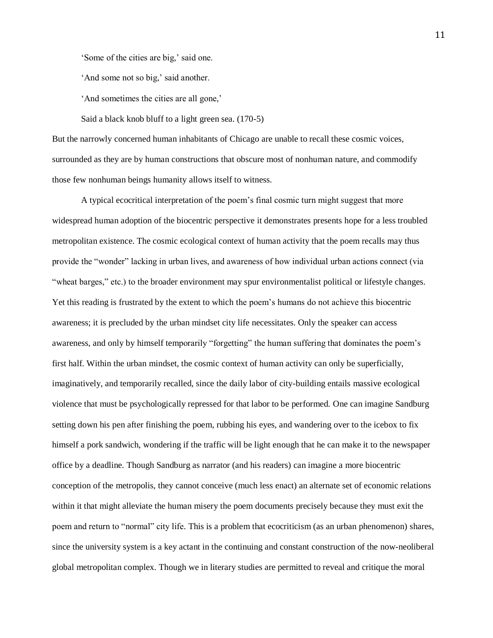'Some of the cities are big,' said one.

'And some not so big,' said another.

'And sometimes the cities are all gone,'

Said a black knob bluff to a light green sea. (170-5)

But the narrowly concerned human inhabitants of Chicago are unable to recall these cosmic voices, surrounded as they are by human constructions that obscure most of nonhuman nature, and commodify those few nonhuman beings humanity allows itself to witness.

A typical ecocritical interpretation of the poem's final cosmic turn might suggest that more widespread human adoption of the biocentric perspective it demonstrates presents hope for a less troubled metropolitan existence. The cosmic ecological context of human activity that the poem recalls may thus provide the "wonder" lacking in urban lives, and awareness of how individual urban actions connect (via "wheat barges," etc.) to the broader environment may spur environmentalist political or lifestyle changes. Yet this reading is frustrated by the extent to which the poem's humans do not achieve this biocentric awareness; it is precluded by the urban mindset city life necessitates. Only the speaker can access awareness, and only by himself temporarily "forgetting" the human suffering that dominates the poem's first half. Within the urban mindset, the cosmic context of human activity can only be superficially, imaginatively, and temporarily recalled, since the daily labor of city-building entails massive ecological violence that must be psychologically repressed for that labor to be performed. One can imagine Sandburg setting down his pen after finishing the poem, rubbing his eyes, and wandering over to the icebox to fix himself a pork sandwich, wondering if the traffic will be light enough that he can make it to the newspaper office by a deadline. Though Sandburg as narrator (and his readers) can imagine a more biocentric conception of the metropolis, they cannot conceive (much less enact) an alternate set of economic relations within it that might alleviate the human misery the poem documents precisely because they must exit the poem and return to "normal" city life. This is a problem that ecocriticism (as an urban phenomenon) shares, since the university system is a key actant in the continuing and constant construction of the now-neoliberal global metropolitan complex. Though we in literary studies are permitted to reveal and critique the moral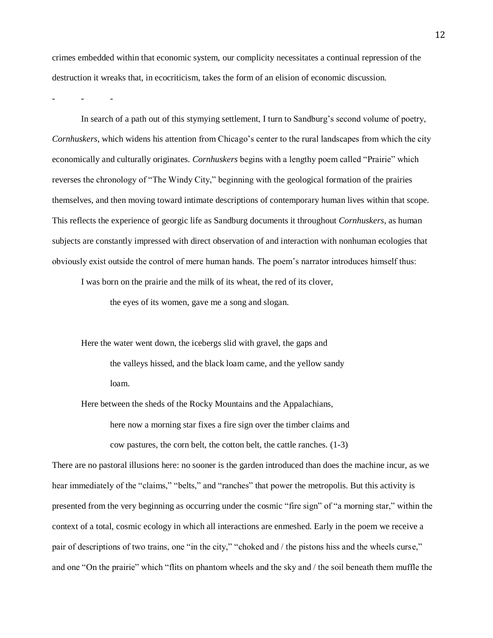crimes embedded within that economic system, our complicity necessitates a continual repression of the destruction it wreaks that, in ecocriticism, takes the form of an elision of economic discussion.

- - -

In search of a path out of this stymying settlement, I turn to Sandburg's second volume of poetry, *Cornhuskers*, which widens his attention from Chicago's center to the rural landscapes from which the city economically and culturally originates. *Cornhuskers* begins with a lengthy poem called "Prairie" which reverses the chronology of "The Windy City," beginning with the geological formation of the prairies themselves, and then moving toward intimate descriptions of contemporary human lives within that scope. This reflects the experience of georgic life as Sandburg documents it throughout *Cornhuskers*, as human subjects are constantly impressed with direct observation of and interaction with nonhuman ecologies that obviously exist outside the control of mere human hands. The poem's narrator introduces himself thus:

I was born on the prairie and the milk of its wheat, the red of its clover,

the eyes of its women, gave me a song and slogan.

Here the water went down, the icebergs slid with gravel, the gaps and the valleys hissed, and the black loam came, and the yellow sandy loam.

Here between the sheds of the Rocky Mountains and the Appalachians, here now a morning star fixes a fire sign over the timber claims and cow pastures, the corn belt, the cotton belt, the cattle ranches. (1-3)

There are no pastoral illusions here: no sooner is the garden introduced than does the machine incur, as we hear immediately of the "claims," "belts," and "ranches" that power the metropolis. But this activity is presented from the very beginning as occurring under the cosmic "fire sign" of "a morning star," within the context of a total, cosmic ecology in which all interactions are enmeshed. Early in the poem we receive a pair of descriptions of two trains, one "in the city," "choked and / the pistons hiss and the wheels curse," and one "On the prairie" which "flits on phantom wheels and the sky and / the soil beneath them muffle the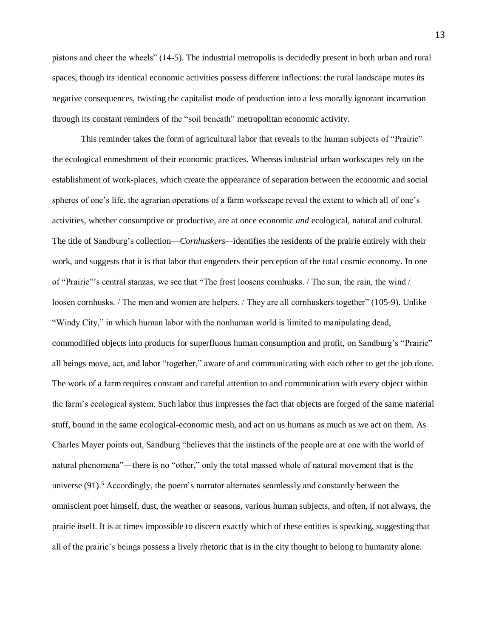pistons and cheer the wheels" (14-5). The industrial metropolis is decidedly present in both urban and rural spaces, though its identical economic activities possess different inflections: the rural landscape mutes its negative consequences, twisting the capitalist mode of production into a less morally ignorant incarnation through its constant reminders of the "soil beneath" metropolitan economic activity.

This reminder takes the form of agricultural labor that reveals to the human subjects of "Prairie" the ecological enmeshment of their economic practices. Whereas industrial urban workscapes rely on the establishment of work-places, which create the appearance of separation between the economic and social spheres of one's life, the agrarian operations of a farm workscape reveal the extent to which all of one's activities, whether consumptive or productive, are at once economic *and* ecological, natural and cultural. The title of Sandburg's collection—*Cornhuskers—*identifies the residents of the prairie entirely with their work, and suggests that it is that labor that engenders their perception of the total cosmic economy. In one of "Prairie"'s central stanzas, we see that "The frost loosens cornhusks. / The sun, the rain, the wind / loosen cornhusks. / The men and women are helpers. / They are all cornhuskers together" (105-9). Unlike "Windy City," in which human labor with the nonhuman world is limited to manipulating dead, commodified objects into products for superfluous human consumption and profit, on Sandburg's "Prairie" all beings move, act, and labor "together," aware of and communicating with each other to get the job done. The work of a farm requires constant and careful attention to and communication with every object within the farm's ecological system. Such labor thus impresses the fact that objects are forged of the same material stuff, bound in the same ecological-economic mesh, and act on us humans as much as we act on them. As Charles Mayer points out, Sandburg "believes that the instincts of the people are at one with the world of natural phenomena"—there is no "other," only the total massed whole of natural movement that is the universe  $(91)$ .<sup>5</sup> Accordingly, the poem's narrator alternates seamlessly and constantly between the omniscient poet himself, dust, the weather or seasons, various human subjects, and often, if not always, the prairie itself. It is at times impossible to discern exactly which of these entities is speaking, suggesting that all of the prairie's beings possess a lively rhetoric that is in the city thought to belong to humanity alone.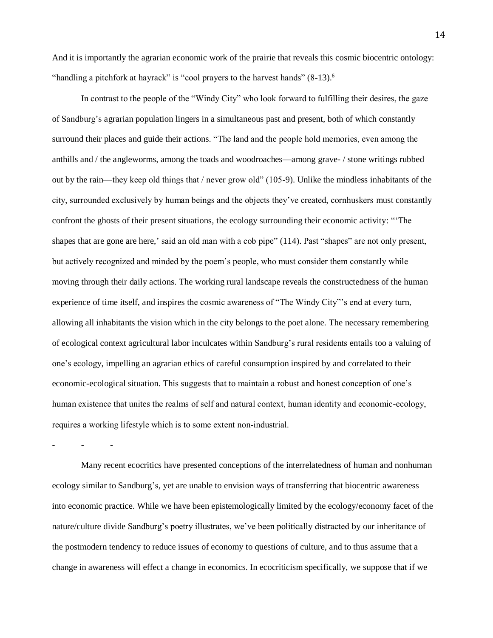And it is importantly the agrarian economic work of the prairie that reveals this cosmic biocentric ontology: "handling a pitchfork at hayrack" is "cool prayers to the harvest hands"  $(8-13)$ .<sup>6</sup>

In contrast to the people of the "Windy City" who look forward to fulfilling their desires, the gaze of Sandburg's agrarian population lingers in a simultaneous past and present, both of which constantly surround their places and guide their actions. "The land and the people hold memories, even among the anthills and / the angleworms, among the toads and woodroaches—among grave- / stone writings rubbed out by the rain—they keep old things that / never grow old" (105-9). Unlike the mindless inhabitants of the city, surrounded exclusively by human beings and the objects they've created, cornhuskers must constantly confront the ghosts of their present situations, the ecology surrounding their economic activity: "'The shapes that are gone are here,' said an old man with a cob pipe" (114). Past "shapes" are not only present, but actively recognized and minded by the poem's people, who must consider them constantly while moving through their daily actions. The working rural landscape reveals the constructedness of the human experience of time itself, and inspires the cosmic awareness of "The Windy City"'s end at every turn, allowing all inhabitants the vision which in the city belongs to the poet alone. The necessary remembering of ecological context agricultural labor inculcates within Sandburg's rural residents entails too a valuing of one's ecology, impelling an agrarian ethics of careful consumption inspired by and correlated to their economic-ecological situation. This suggests that to maintain a robust and honest conception of one's human existence that unites the realms of self and natural context, human identity and economic-ecology, requires a working lifestyle which is to some extent non-industrial.

Many recent ecocritics have presented conceptions of the interrelatedness of human and nonhuman ecology similar to Sandburg's, yet are unable to envision ways of transferring that biocentric awareness into economic practice. While we have been epistemologically limited by the ecology/economy facet of the nature/culture divide Sandburg's poetry illustrates, we've been politically distracted by our inheritance of the postmodern tendency to reduce issues of economy to questions of culture, and to thus assume that a change in awareness will effect a change in economics. In ecocriticism specifically, we suppose that if we

- - -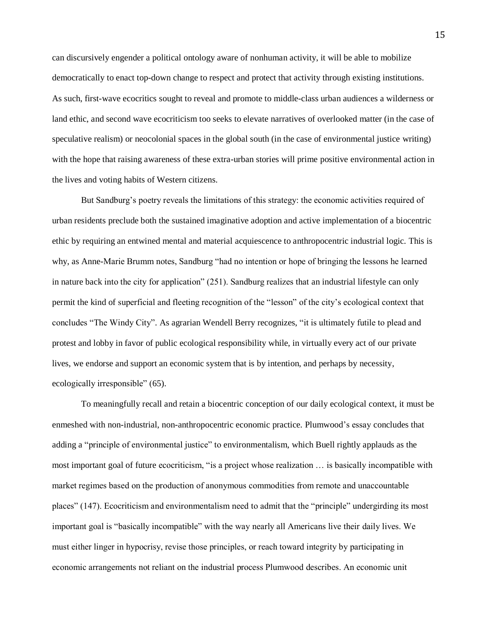can discursively engender a political ontology aware of nonhuman activity, it will be able to mobilize democratically to enact top-down change to respect and protect that activity through existing institutions. As such, first-wave ecocritics sought to reveal and promote to middle-class urban audiences a wilderness or land ethic, and second wave ecocriticism too seeks to elevate narratives of overlooked matter (in the case of speculative realism) or neocolonial spaces in the global south (in the case of environmental justice writing) with the hope that raising awareness of these extra-urban stories will prime positive environmental action in the lives and voting habits of Western citizens.

But Sandburg's poetry reveals the limitations of this strategy: the economic activities required of urban residents preclude both the sustained imaginative adoption and active implementation of a biocentric ethic by requiring an entwined mental and material acquiescence to anthropocentric industrial logic. This is why, as Anne-Marie Brumm notes, Sandburg "had no intention or hope of bringing the lessons he learned in nature back into the city for application" (251). Sandburg realizes that an industrial lifestyle can only permit the kind of superficial and fleeting recognition of the "lesson" of the city's ecological context that concludes "The Windy City". As agrarian Wendell Berry recognizes, "it is ultimately futile to plead and protest and lobby in favor of public ecological responsibility while, in virtually every act of our private lives, we endorse and support an economic system that is by intention, and perhaps by necessity, ecologically irresponsible" (65).

To meaningfully recall and retain a biocentric conception of our daily ecological context, it must be enmeshed with non-industrial, non-anthropocentric economic practice. Plumwood's essay concludes that adding a "principle of environmental justice" to environmentalism, which Buell rightly applauds as the most important goal of future ecocriticism, "is a project whose realization … is basically incompatible with market regimes based on the production of anonymous commodities from remote and unaccountable places" (147). Ecocriticism and environmentalism need to admit that the "principle" undergirding its most important goal is "basically incompatible" with the way nearly all Americans live their daily lives. We must either linger in hypocrisy, revise those principles, or reach toward integrity by participating in economic arrangements not reliant on the industrial process Plumwood describes. An economic unit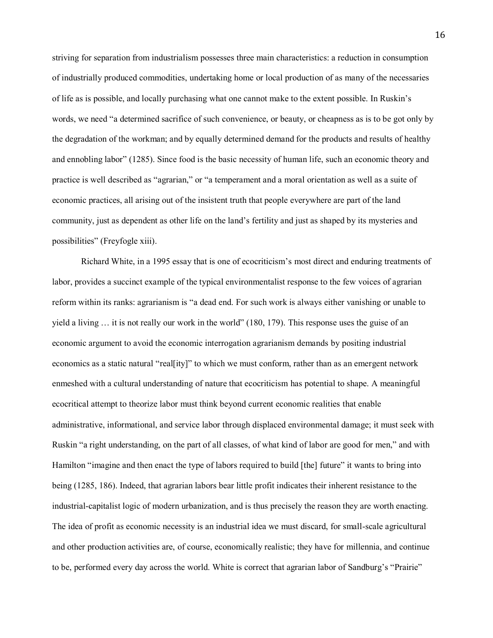striving for separation from industrialism possesses three main characteristics: a reduction in consumption of industrially produced commodities, undertaking home or local production of as many of the necessaries of life as is possible, and locally purchasing what one cannot make to the extent possible. In Ruskin's words, we need "a determined sacrifice of such convenience, or beauty, or cheapness as is to be got only by the degradation of the workman; and by equally determined demand for the products and results of healthy and ennobling labor" (1285). Since food is the basic necessity of human life, such an economic theory and practice is well described as "agrarian," or "a temperament and a moral orientation as well as a suite of economic practices, all arising out of the insistent truth that people everywhere are part of the land community, just as dependent as other life on the land's fertility and just as shaped by its mysteries and possibilities" (Freyfogle xiii).

Richard White, in a 1995 essay that is one of ecocriticism's most direct and enduring treatments of labor, provides a succinct example of the typical environmentalist response to the few voices of agrarian reform within its ranks: agrarianism is "a dead end. For such work is always either vanishing or unable to yield a living … it is not really our work in the world" (180, 179). This response uses the guise of an economic argument to avoid the economic interrogation agrarianism demands by positing industrial economics as a static natural "real[ity]" to which we must conform, rather than as an emergent network enmeshed with a cultural understanding of nature that ecocriticism has potential to shape. A meaningful ecocritical attempt to theorize labor must think beyond current economic realities that enable administrative, informational, and service labor through displaced environmental damage; it must seek with Ruskin "a right understanding, on the part of all classes, of what kind of labor are good for men," and with Hamilton "imagine and then enact the type of labors required to build [the] future" it wants to bring into being (1285, 186). Indeed, that agrarian labors bear little profit indicates their inherent resistance to the industrial-capitalist logic of modern urbanization, and is thus precisely the reason they are worth enacting. The idea of profit as economic necessity is an industrial idea we must discard, for small-scale agricultural and other production activities are, of course, economically realistic; they have for millennia, and continue to be, performed every day across the world. White is correct that agrarian labor of Sandburg's "Prairie"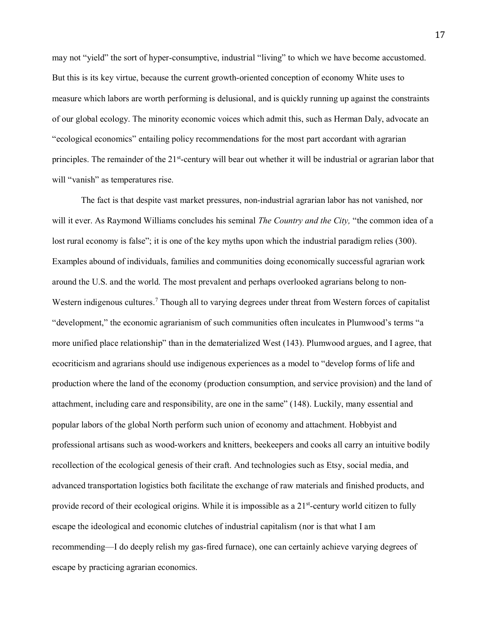may not "yield" the sort of hyper-consumptive, industrial "living" to which we have become accustomed. But this is its key virtue, because the current growth-oriented conception of economy White uses to measure which labors are worth performing is delusional, and is quickly running up against the constraints of our global ecology. The minority economic voices which admit this, such as Herman Daly, advocate an "ecological economics" entailing policy recommendations for the most part accordant with agrarian principles. The remainder of the 21<sup>st</sup>-century will bear out whether it will be industrial or agrarian labor that will "vanish" as temperatures rise.

The fact is that despite vast market pressures, non-industrial agrarian labor has not vanished, nor will it ever. As Raymond Williams concludes his seminal *The Country and the City,* "the common idea of a lost rural economy is false"; it is one of the key myths upon which the industrial paradigm relies (300). Examples abound of individuals, families and communities doing economically successful agrarian work around the U.S. and the world. The most prevalent and perhaps overlooked agrarians belong to non-Western indigenous cultures.<sup>7</sup> Though all to varying degrees under threat from Western forces of capitalist "development," the economic agrarianism of such communities often inculcates in Plumwood's terms "a more unified place relationship" than in the dematerialized West (143). Plumwood argues, and I agree, that ecocriticism and agrarians should use indigenous experiences as a model to "develop forms of life and production where the land of the economy (production consumption, and service provision) and the land of attachment, including care and responsibility, are one in the same" (148). Luckily, many essential and popular labors of the global North perform such union of economy and attachment. Hobbyist and professional artisans such as wood-workers and knitters, beekeepers and cooks all carry an intuitive bodily recollection of the ecological genesis of their craft. And technologies such as Etsy, social media, and advanced transportation logistics both facilitate the exchange of raw materials and finished products, and provide record of their ecological origins. While it is impossible as a 21<sup>st</sup>-century world citizen to fully escape the ideological and economic clutches of industrial capitalism (nor is that what I am recommending—I do deeply relish my gas-fired furnace), one can certainly achieve varying degrees of escape by practicing agrarian economics.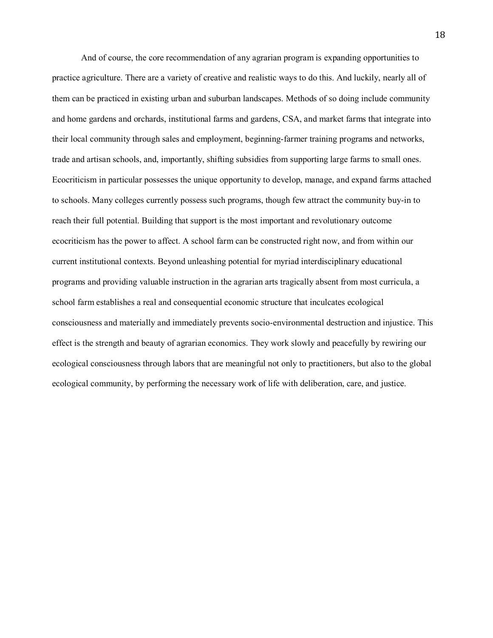And of course, the core recommendation of any agrarian program is expanding opportunities to practice agriculture. There are a variety of creative and realistic ways to do this. And luckily, nearly all of them can be practiced in existing urban and suburban landscapes. Methods of so doing include community and home gardens and orchards, institutional farms and gardens, CSA, and market farms that integrate into their local community through sales and employment, beginning-farmer training programs and networks, trade and artisan schools, and, importantly, shifting subsidies from supporting large farms to small ones. Ecocriticism in particular possesses the unique opportunity to develop, manage, and expand farms attached to schools. Many colleges currently possess such programs, though few attract the community buy-in to reach their full potential. Building that support is the most important and revolutionary outcome ecocriticism has the power to affect. A school farm can be constructed right now, and from within our current institutional contexts. Beyond unleashing potential for myriad interdisciplinary educational programs and providing valuable instruction in the agrarian arts tragically absent from most curricula, a school farm establishes a real and consequential economic structure that inculcates ecological consciousness and materially and immediately prevents socio-environmental destruction and injustice. This effect is the strength and beauty of agrarian economics. They work slowly and peacefully by rewiring our ecological consciousness through labors that are meaningful not only to practitioners, but also to the global ecological community, by performing the necessary work of life with deliberation, care, and justice.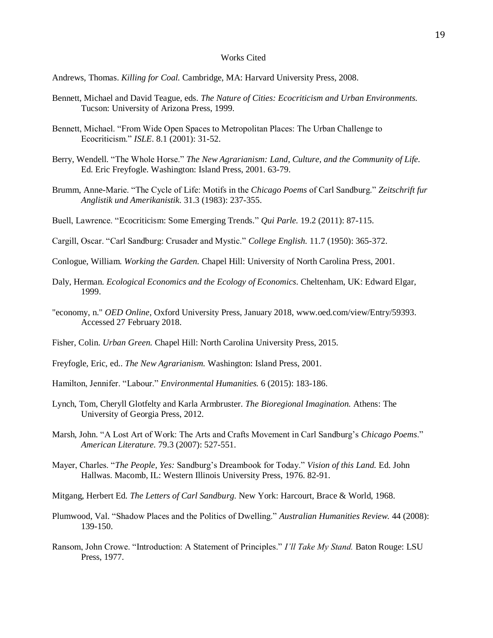## Works Cited

Andrews, Thomas. *Killing for Coal.* Cambridge, MA: Harvard University Press, 2008.

- Bennett, Michael and David Teague, eds. *The Nature of Cities: Ecocriticism and Urban Environments.*  Tucson: University of Arizona Press, 1999.
- Bennett, Michael. "From Wide Open Spaces to Metropolitan Places: The Urban Challenge to Ecocriticism." *ISLE*. 8.1 (2001): 31-52.
- Berry, Wendell. "The Whole Horse." *The New Agrarianism: Land, Culture, and the Community of Life.*  Ed. Eric Freyfogle. Washington: Island Press, 2001. 63-79.
- Brumm, Anne-Marie. "The Cycle of Life: Motifs in the *Chicago Poems* of Carl Sandburg." *Zeitschrift fur Anglistik und Amerikanistik.* 31.3 (1983): 237-355.
- Buell, Lawrence. "Ecocriticism: Some Emerging Trends." *Qui Parle.* 19.2 (2011): 87-115.
- Cargill, Oscar. "Carl Sandburg: Crusader and Mystic." *College English.* 11.7 (1950): 365-372.
- Conlogue, William. *Working the Garden.* Chapel Hill: University of North Carolina Press, 2001.
- Daly, Herman. *Ecological Economics and the Ecology of Economics.* Cheltenham, UK: Edward Elgar, 1999.
- "economy, n." *OED Online*, Oxford University Press, January 2018, www.oed.com/view/Entry/59393. Accessed 27 February 2018.
- Fisher, Colin. *Urban Green.* Chapel Hill: North Carolina University Press, 2015.
- Freyfogle, Eric, ed.. *The New Agrarianism.* Washington: Island Press, 2001.
- Hamilton, Jennifer. "Labour." *Environmental Humanities.* 6 (2015): 183-186.
- Lynch, Tom, Cheryll Glotfelty and Karla Armbruster. *The Bioregional Imagination.* Athens: The University of Georgia Press, 2012.
- Marsh, John. "A Lost Art of Work: The Arts and Crafts Movement in Carl Sandburg's *Chicago Poems*." *American Literature.* 79.3 (2007): 527-551.
- Mayer, Charles. "*The People, Yes:* Sandburg's Dreambook for Today." *Vision of this Land.* Ed. John Hallwas. Macomb, IL: Western Illinois University Press, 1976. 82-91.
- Mitgang, Herbert Ed. *The Letters of Carl Sandburg.* New York: Harcourt, Brace & World, 1968.
- Plumwood, Val. "Shadow Places and the Politics of Dwelling." *Australian Humanities Review.* 44 (2008): 139-150.
- Ransom, John Crowe. "Introduction: A Statement of Principles." *I'll Take My Stand.* Baton Rouge: LSU Press, 1977.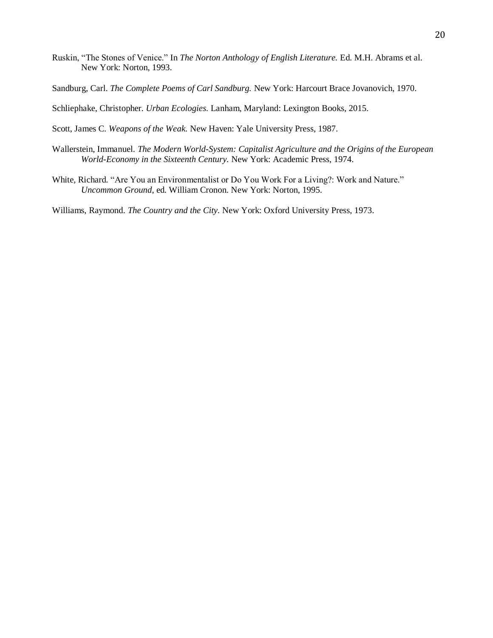- Ruskin, "The Stones of Venice." In *The Norton Anthology of English Literature.* Ed. M.H. Abrams et al. New York: Norton, 1993.
- Sandburg, Carl. *The Complete Poems of Carl Sandburg.* New York: Harcourt Brace Jovanovich, 1970.

Schliephake, Christopher. *Urban Ecologies.* Lanham, Maryland: Lexington Books, 2015.

Scott, James C. *Weapons of the Weak.* New Haven: Yale University Press, 1987.

- Wallerstein, Immanuel. *The Modern World-System: Capitalist Agriculture and the Origins of the European World-Economy in the Sixteenth Century.* New York: Academic Press, 1974.
- White, Richard. "Are You an Environmentalist or Do You Work For a Living?: Work and Nature." *Uncommon Ground*, ed. William Cronon. New York: Norton, 1995.

Williams, Raymond. *The Country and the City.* New York: Oxford University Press, 1973.